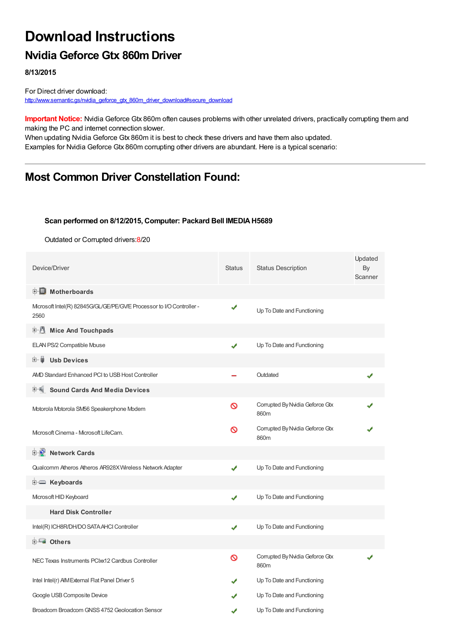# **Download Instructions**

### **Nvidia Geforce Gtx 860m Driver**

**8/13/2015**

For Direct driver download: [http://www.semantic.gs/nvidia\\_geforce\\_gtx\\_860m\\_driver\\_download#secure\\_download](http://www.semantic.gs/nvidia_geforce_gtx_860m_driver_download#secure_download)

**Important Notice:** Nvidia Geforce Gtx 860m often causes problems with other unrelated drivers, practically corrupting them and making the PC and internet connection slower.

When updating Nvidia Geforce Gtx 860m it is best to check these drivers and have them also updated. Examples for Nvidia Geforce Gtx 860m corrupting other drivers are abundant. Here is a typical scenario:

## **Most Common Driver Constellation Found:**

#### **Scan performed on 8/12/2015, Computer: Packard Bell IMEDIAH5689**

Outdated or Corrupted drivers:8/20

| Device/Driver                                                                 | <b>Status</b> | <b>Status Description</b>                    | Updated<br>By<br>Scanner |  |
|-------------------------------------------------------------------------------|---------------|----------------------------------------------|--------------------------|--|
| <b>E</b> Motherboards                                                         |               |                                              |                          |  |
| Microsoft Intel(R) 82845G/GL/GE/PE/GV/E Processor to I/O Controller -<br>2560 |               | Up To Date and Functioning                   |                          |  |
| <b>E</b> Mice And Touchpads                                                   |               |                                              |                          |  |
| ELAN PS/2 Compatible Mouse                                                    | ✔             | Up To Date and Functioning                   |                          |  |
| Ė~ U<br><b>Usb Devices</b>                                                    |               |                                              |                          |  |
| AMD Standard Enhanced PCI to USB Host Controller                              |               | Outdated                                     |                          |  |
| <b>Sound Cards And Media Devices</b>                                          |               |                                              |                          |  |
| Motorola Motorola SM56 Speakerphone Modem                                     | Ø             | Corrupted By Nvidia Geforce Gtx<br>860m      |                          |  |
| Mcrosoft Cinema - Mcrosoft LifeCam.                                           |               | Corrupted By Nvidia Geforce Gtx<br>ଷ<br>860m |                          |  |
| <b>D</b> Network Cards                                                        |               |                                              |                          |  |
| Qualcomm Atheros Atheros AR928X Wireless Network Adapter                      | ✔             | Up To Date and Functioning                   |                          |  |
| <b>E</b> Keyboards                                                            |               |                                              |                          |  |
| Microsoft HID Keyboard                                                        |               | Up To Date and Functioning                   |                          |  |
| <b>Hard Disk Controller</b>                                                   |               |                                              |                          |  |
| Intel(R) ICH8R/DH/DO SATA AHCI Controller                                     | ✔             | Up To Date and Functioning                   |                          |  |
| <b>E</b> Others                                                               |               |                                              |                          |  |
| NEC Texas Instruments PCIxx12 Cardbus Controller                              | ∾             | Corrupted By Nvidia Geforce Gtx<br>860m      |                          |  |
| Intel Intel(r) AIM External Flat Panel Driver 5                               |               | Up To Date and Functioning                   |                          |  |
| Google USB Composite Device                                                   |               | Up To Date and Functioning                   |                          |  |
| Broadcom Broadcom GNSS 4752 Geolocation Sensor                                |               | Up To Date and Functioning                   |                          |  |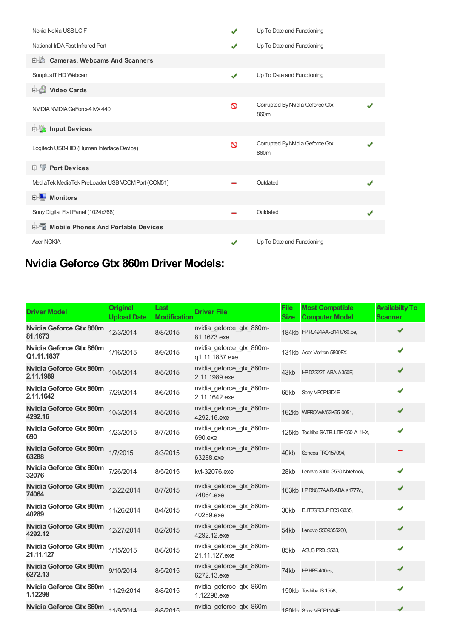| Nokia Nokia USB LCIF                              | $\checkmark$ | Up To Date and Functioning              |  |
|---------------------------------------------------|--------------|-----------------------------------------|--|
| National IrDA Fast Infrared Port                  | ✔            | Up To Date and Functioning              |  |
| <b>Cameras, Webcams And Scanners</b>              |              |                                         |  |
| Sunplus IT HD Webcam                              | ✔            | Up To Date and Functioning              |  |
| Video Cards                                       |              |                                         |  |
| NVIDIA NVIDIA GeForce4 MX 440                     | Ø            | Corrupted By Nvidia Geforce Gtx<br>860m |  |
| <b>E</b> Input Devices                            |              |                                         |  |
| Logitech USB-HID (Human Interface Device)         | ଷ            | Corrupted By Nvidia Geforce Gtx<br>860m |  |
| <b>E-TP</b> Port Devices                          |              |                                         |  |
| MediaTek MediaTek PreLoader USB VCOMPort (COM51)  |              | Outdated                                |  |
| <b>E</b> Monitors                                 |              |                                         |  |
| Sony Digital Flat Panel (1024x768)                |              | Outdated                                |  |
| <b>Devices</b> Mobile Phones And Portable Devices |              |                                         |  |
| <b>Acer NOKIA</b>                                 | $\checkmark$ | Up To Date and Functioning              |  |

# **Nvidia Geforce Gtx 860m Driver Models:**

| <b>Driver Model</b>                         | <b>Original</b><br><b>Upload Date</b> | Last<br><b>Modification</b> | <b>Driver File</b>                         | <b>File</b><br><b>Size</b> | <b>Most Compatible</b><br><b>Computer Model</b> | <b>Availabilty To</b><br><b>Scanner</b> |
|---------------------------------------------|---------------------------------------|-----------------------------|--------------------------------------------|----------------------------|-------------------------------------------------|-----------------------------------------|
| Nvidia Geforce Gtx 860m<br>81.1673          | 12/3/2014                             | 8/8/2015                    | nvidia geforce gtx 860m-<br>81.1673.exe    |                            | 184kb HPPL494AA-B14 t760.be,                    | ✔                                       |
| Nvidia Geforce Gtx 860m<br>Q1.11.1837       | 1/16/2015                             | 8/9/2015                    | nvidia_geforce_gtx_860m-<br>q1.11.1837.exe |                            | 131kb Acer Veriton 5800FX,                      | J                                       |
| <b>Nvidia Geforce Gtx 860m</b><br>2.11.1989 | 10/5/2014                             | 8/5/2015                    | nvidia_geforce_gtx_860m-<br>2.11.1989.exe  |                            | 43kb HPD7222T-ABA A350E                         | ✔                                       |
| <b>Nvidia Geforce Gtx 860m</b><br>2.11.1642 | 7/29/2014                             | 8/6/2015                    | nvidia geforce gtx 860m-<br>2.11.1642.exe  | 65kb                       | Sony VPCF13D4E                                  | ✔                                       |
| Nvidia Geforce Gtx 860m<br>4292.16          | 10/3/2014                             | 8/5/2015                    | nvidia geforce gtx 860m-<br>4292.16.exe    |                            | 162kb WIFRO WM 52K55-0051,                      | ✔                                       |
| <b>Nvidia Geforce Gtx 860m</b><br>690       | 1/23/2015                             | 8/7/2015                    | nvidia geforce gtx 860m-<br>690.exe        |                            | 125kb Toshiba SATELLITE C50-A-1HX,              | ✔                                       |
| Nvidia Geforce Gtx 860m<br>63288            | 1/7/2015                              | 8/3/2015                    | nvidia_geforce_gtx_860m-<br>63288.exe      |                            | 40kb Seneca PRO157094,                          |                                         |
| Nvidia Geforce Gtx 860m<br>32076            | 7/26/2014                             | 8/5/2015                    | kvi-32076.exe                              | 28kb                       | Lenovo 3000 G530 Notebook,                      | ✔                                       |
| Nvidia Geforce Gtx 860m<br>74064            | 12/22/2014                            | 8/7/2015                    | nvidia_geforce_gtx_860m-<br>74064.exe      |                            | 163kb HPRN657AAR-ABA a1777c,                    | ✔                                       |
| Nvidia Geforce Gtx 860m<br>40289            | 11/26/2014                            | 8/4/2015                    | nvidia geforce gtx 860m-<br>40289.exe      | 30kb                       | ELITEGROUP ECS G335,                            | ✔                                       |
| <b>Nvidia Geforce Gtx 860m</b><br>4292.12   | 12/27/2014                            | 8/2/2015                    | nvidia geforce gtx 860m-<br>4292.12.exe    | 54kb                       | Lenovo SS09355260,                              | ✔                                       |
| Nvidia Geforce Gtx 860m<br>21.11.127        | 1/15/2015                             | 8/8/2015                    | nvidia geforce gtx 860m-<br>21.11.127.exe  | 85kb                       | ASUS PROLS533.                                  | ✔                                       |
| Nvidia Geforce Gtx 860m<br>6272.13          | 9/10/2014                             | 8/5/2015                    | nvidia_geforce_gtx_860m-<br>6272.13.exe    |                            | 74kb HPHPE-400es,                               | J                                       |
| <b>Nvidia Geforce Gtx 860m</b><br>1.12298   | 11/29/2014                            | 8/8/2015                    | nvidia_geforce_gtx_860m-<br>1.12298.exe    |                            | 150kb Toshiba IS 1558,                          |                                         |
| <b>Nvidia Geforce Gtx 860m</b>              | 11/9/2014                             | R/R/2015                    | nvidia geforce gtx 860m-                   |                            | 180kh Sony VRCE1144F                            |                                         |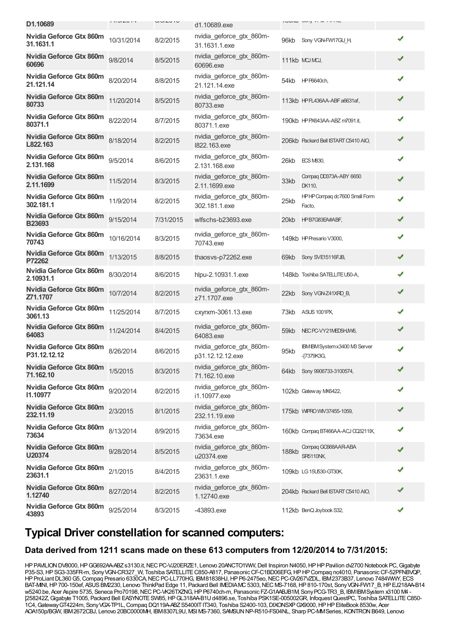| D1.10689                                        | $111$ UI $\leftarrow$ $1$ T | $U1U1U1U$ | d1.10689.exe                                 |       | <b>IUUINU UUIII VIUI IIIITL</b>                    |   |  |
|-------------------------------------------------|-----------------------------|-----------|----------------------------------------------|-------|----------------------------------------------------|---|--|
| <b>Nvidia Geforce Gtx 860m</b><br>31.1631.1     | 10/31/2014                  | 8/2/2015  | nvidia_geforce_gtx_860m-<br>31.1631.1.exe    | 96kb  | Sony VGN-FW17GU H,                                 | ✔ |  |
| Nvidia Geforce Gtx 860m<br>60696                | 9/8/2014                    | 8/5/2015  | nvidia_geforce_gtx_860m-<br>60696.exe        |       | 111kb MCJMCJ,                                      | ✔ |  |
| Nvidia Geforce Gtx 860m<br>21.121.14            | 8/20/2014                   | 8/8/2015  | nvidia_geforce_gtx_860m-<br>21.121.14.exe    |       | 54kb HPP6640ch,                                    | ✔ |  |
| <b>Nvidia Geforce Gtx 860m</b><br>80733         | 11/20/2014                  | 8/5/2015  | nvidia geforce gtx 860m-<br>80733.exe        |       | 113kb HPFL436AA-ABF a6631af,                       | ✔ |  |
| <b>Nvidia Geforce Gtx 860m</b><br>80371.1       | 8/22/2014                   | 8/7/2015  | nvidia_geforce_gtx_860m-<br>80371.1.exe      |       | 190kb HPPX643AA-ABZ m7091.it,                      | ✔ |  |
| <b>Nvidia Geforce Gtx 860m</b><br>L822.163      | 8/18/2014                   | 8/2/2015  | nvidia_geforce_gtx_860m-<br>1822.163.exe     |       | 206kb Packard Bell ISTART C5410 AIO,               | ✔ |  |
| Nvidia Geforce Gtx 860m<br>2.131.168            | 9/5/2014                    | 8/6/2015  | nvidia_geforce_gtx_860m-<br>2.131.168.exe    | 26kb  | <b>ECS MB30,</b>                                   | ✔ |  |
| <b>Nvidia Geforce Gtx 860m</b><br>2.11.1699     | 11/5/2014                   | 8/3/2015  | nvidia_geforce_gtx_860m-<br>2.11.1699.exe    | 33kb  | Compaq DD373A-ABY 6650<br>DK110,                   | ✔ |  |
| <b>Nvidia Geforce Gtx 860m</b><br>302.181.1     | 11/9/2014                   | 8/2/2015  | nvidia_geforce_gtx_860m-<br>302.181.1.exe    | 25kb  | HPHP Compaq dc7600 Small Form<br>Facto,            | ✔ |  |
| <b>Nvidia Geforce Gtx 860m</b><br><b>B23693</b> | 9/15/2014                   | 7/31/2015 | wlfschs-b23693.exe                           | 20kb  | HPB7G83EA#ABF,                                     | ✔ |  |
| <b>Nvidia Geforce Gtx 860m</b><br>70743         | 10/16/2014                  | 8/3/2015  | nvidia_geforce_gtx_860m-<br>70743.exe        |       | 149kb HP Presario V3000,                           | ✔ |  |
| <b>Nvidia Geforce Gtx 860m</b><br>P72262        | 1/13/2015                   | 8/8/2015  | thaosvs-p72262.exe                           | 69kb  | Sony SVE15116FJB,                                  | ✔ |  |
| <b>Nvidia Geforce Gtx 860m</b><br>2.10931.1     | 8/30/2014                   | 8/6/2015  | hlpu-2.10931.1.exe                           |       | 148kb Toshiba SATELLITE U50-A,                     | ✔ |  |
| <b>Nvidia Geforce Gtx 860m</b><br>Z71.1707      | 10/7/2014                   | 8/2/2015  | nvidia_geforce_gtx_860m-<br>z71.1707.exe     | 22kb  | Sony VGN-Z41XRD_B,                                 | ✔ |  |
| <b>Nvidia Geforce Gtx 860m</b><br>3061.13       | 11/25/2014                  | 8/7/2015  | cxyrxm-3061.13.exe                           | 73kb  | <b>ASUS 1001PX,</b>                                | ✔ |  |
| <b>Nvidia Geforce Gtx 860m</b><br>64083         | 11/24/2014                  | 8/4/2015  | nvidia geforce gtx 860m-<br>64083.exe        | 59kb  | NEC PC-VY21MED5HJW6,                               | ✔ |  |
| Nvidia Geforce Gtx 860m<br>P31.12.12.12         | 8/26/2014                   | 8/6/2015  | nvidia_geforce_gtx_860m-<br>p31.12.12.12.exe | 95kb  | <b>IBM IBM Systemx3400 MB Server</b><br>-[7379K3G, | ✔ |  |
| Nvidia Geforce Gtx 860m<br>71.162.10            | 1/5/2015                    | 8/3/2015  | nvidia geforce gtx 860m-<br>71.162.10.exe    |       | 64kb Sony 9906733-3100574,                         | ✔ |  |
| Nvidia Geforce Gtx 860m<br>11.10977             | 9/20/2014                   | 8/2/2015  | nvidia_geforce_gtx_860m-<br>i1.10977.exe     |       | 102kb Gateway MX6422,                              | ✔ |  |
| Nvidia Geforce Gtx 860m<br>232.11.19            | 2/3/2015                    | 8/1/2015  | nvidia_geforce_gtx_860m-<br>232.11.19.exe    |       | 175kb WIFRO WIV37455-1059,                         | ✔ |  |
| Nvidia Geforce Gtx 860m<br>73634                | 8/13/2014                   | 8/9/2015  | nvidia_geforce_gtx_860m-<br>73634.exe        |       | 160kb Compaq BT466AA-ACJ CC3211IX,                 | ✔ |  |
| Nvidia Geforce Gtx 860m<br>U20374               | 9/28/2014                   | 8/5/2015  | nvidia_geforce_gtx_860m-<br>u20374.exe       | 188kb | Compaq GO668AAR-ABA<br><b>SR5110NX</b>             |   |  |
| Nvidia Geforce Gtx 860m<br>23631.1              | 2/1/2015                    | 8/4/2015  | nvidia_geforce_gtx_860m-<br>23631.1.exe      |       | 109kb LG 15U530-GT30K,                             | ✔ |  |
| <b>Nvidia Geforce Gtx 860m</b><br>1.12740       | 8/27/2014                   | 8/2/2015  | nvidia_geforce_gtx_860m-<br>1.12740.exe      |       | 204kb Packard Bell ISTART C5410 AIO,               |   |  |
| Nvidia Geforce Gtx 860m<br>43893                | 9/25/2014                   | 8/3/2015  | -43893.exe                                   |       | 112kb BenQ Joybook S32,                            |   |  |

### **Typical Driver constellation for scanned computers:**

#### **Data derived from 1211 scans made on these 613 computers from 12/20/2014 to 7/31/2015:**

HP PAVILION DV8000, HP GG692AA-ABZ s3130.it, NEC PC-VJ20ERZE1, Lenovo 20ANCTO1WW, Dell Inspiron N4050, HP HP Pavilion dv2700 Notebook PC, Gigabyte P35-S3, HP SG3-335FR-m, Sony VGN-CR327 W, Toshiba SATELLITE C850-A817, Panasonic CF-C1BD06EFG, HP HP Compaq nc4010, Panasonic CF-52PFNBVQP, HPProLiantDL360G5,Compaq Presario 6330CA,NECPC-LL770HG, IBM81838HJ,HPP6-2475eo,NECPC-GV267VZDL, IBM2373B37, Lenovo 7484WWY, ECS BAT-MNI, HP700-150ef, ASUS BM2230, Lenovo ThinkPad Edge 11, Packard Bell IMEDIAMC 5303, NEC MS-7168, HP 810-170st, Sony VGN-FW17\_B, HP EJ218AA-B14 w5240.be, Acer Aspire 5735, Seneca Pro70198, NEC PC-VK26TXZNG, HP P6740ch-m, Panasonic FZ-G1AABJB1M, Sony PCG-TR3\_B, IBMIBMSystem x3100 M4 -[258242Z, Gigabyte T1005, Packard Bell EASYNOTE SW85, HP GL318AA-B1U d4896.se, Toshiba PSK1SE-005002GR, Infoquest QuestPC, Toshiba SATELLITE C850-1C4,GatewayGT4224m, SonyVGX-TP1L,Compaq DQ119A-ABZS5400ITIT340, Toshiba S2400-103,DIXONSXPGX9000,HPHPEliteBook 8530w, Acer AOA150p/BGW, IBM2672CBJ, Lenovo 20BC0000MH, IBM8307L9U, MSI MS-7360, SAMSUNNP-R510-FS04NL, Sharp PC-MMSeries, KONTRONB649, Lenovo